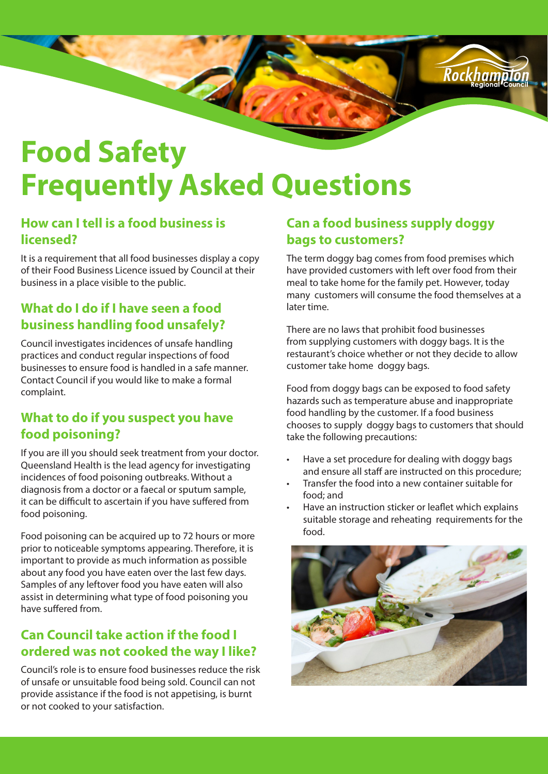

# **Food Safety Frequently Asked Questions**

#### **How can I tell is a food business is licensed?**

It is a requirement that all food businesses display a copy of their Food Business Licence issued by Council at their business in a place visible to the public.

### **What do I do if I have seen a food business handling food unsafely?**

Council investigates incidences of unsafe handling practices and conduct regular inspections of food businesses to ensure food is handled in a safe manner. Contact Council if you would like to make a formal complaint.

#### **What to do if you suspect you have food poisoning?**

If you are ill you should seek treatment from your doctor. Queensland Health is the lead agency for investigating incidences of food poisoning outbreaks. Without a diagnosis from a doctor or a faecal or sputum sample, it can be difficult to ascertain if you have suffered from food poisoning.

Food poisoning can be acquired up to 72 hours or more prior to noticeable symptoms appearing. Therefore, it is important to provide as much information as possible about any food you have eaten over the last few days. Samples of any leftover food you have eaten will also assist in determining what type of food poisoning you have suffered from.

### **Can Council take action if the food I ordered was not cooked the way I like?**

Council's role is to ensure food businesses reduce the risk of unsafe or unsuitable food being sold. Council can not provide assistance if the food is not appetising, is burnt or not cooked to your satisfaction.

### **Can a food business supply doggy bags to customers?**

The term doggy bag comes from food premises which have provided customers with left over food from their meal to take home for the family pet. However, today many customers will consume the food themselves at a later time.

There are no laws that prohibit food businesses from supplying customers with doggy bags. It is the restaurant's choice whether or not they decide to allow customer take home doggy bags.

Food from doggy bags can be exposed to food safety hazards such as temperature abuse and inappropriate food handling by the customer. If a food business chooses to supply doggy bags to customers that should take the following precautions:

- Have a set procedure for dealing with doggy bags and ensure all staff are instructed on this procedure;
- Transfer the food into a new container suitable for food; and
- Have an instruction sticker or leaflet which explains suitable storage and reheating requirements for the food.